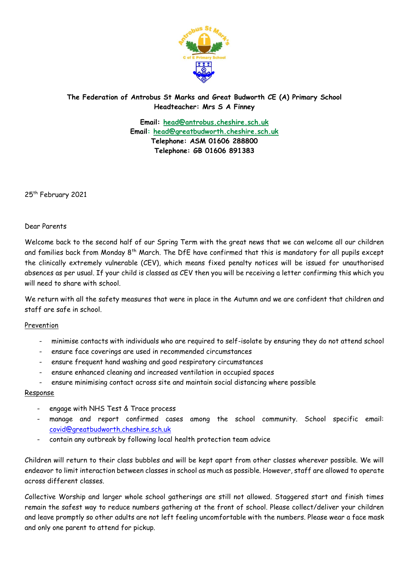

## **The Federation of Antrobus St Marks and Great Budworth CE (A) Primary School Headteacher: Mrs S A Finney**

**Email: [head@antrobus.cheshire.sch.uk](mailto:head@antrobus.cheshire.sch.uk) Email: [head@greatbudworth.cheshire.sch.uk](mailto:head@greatbudworth.cheshire.sch.uk) Telephone: ASM 01606 288800 Telephone: GB 01606 891383**

25<sup>th</sup> February 2021

Dear Parents

Welcome back to the second half of our Spring Term with the great news that we can welcome all our children and families back from Monday 8<sup>th</sup> March. The DfE have confirmed that this is mandatory for all pupils except the clinically extremely vulnerable (CEV), which means fixed penalty notices will be issued for unauthorised absences as per usual. If your child is classed as CEV then you will be receiving a letter confirming this which you will need to share with school.

We return with all the safety measures that were in place in the Autumn and we are confident that children and staff are safe in school.

## Prevention

- minimise contacts with individuals who are required to self-isolate by ensuring they do not attend school
- ensure face coverings are used in recommended circumstances
- ensure frequent hand washing and good respiratory circumstances
- ensure enhanced cleaning and increased ventilation in occupied spaces
- ensure minimising contact across site and maintain social distancing where possible

## Response

- engage with NHS Test & Trace process
- manage and report confirmed cases among the school community. School specific email: [covid@greatbudworth.cheshire.sch.uk](mailto:covid@greatbudworth.cheshire.sch.uk)
- contain any outbreak by following local health protection team advice

Children will return to their class bubbles and will be kept apart from other classes wherever possible. We will endeavor to limit interaction between classes in school as much as possible. However, staff are allowed to operate across different classes.

Collective Worship and larger whole school gatherings are still not allowed. Staggered start and finish times remain the safest way to reduce numbers gathering at the front of school. Please collect/deliver your children and leave promptly so other adults are not left feeling uncomfortable with the numbers. Please wear a face mask and only one parent to attend for pickup.